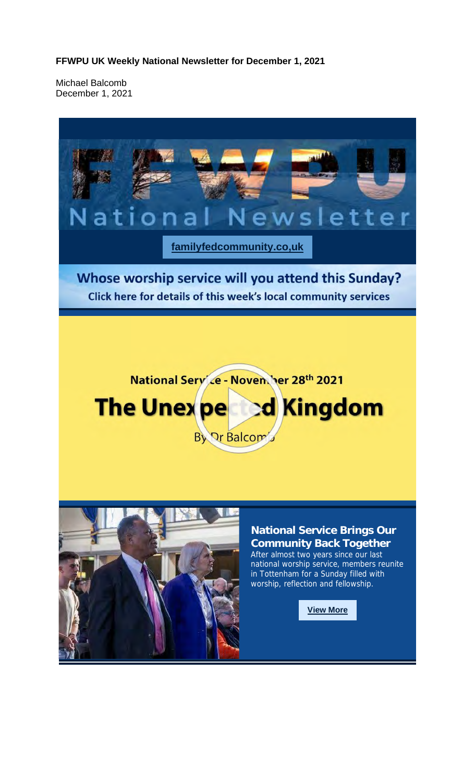**FFWPU UK Weekly National Newsletter for December 1, 2021**

Michael Balcomb December 1, 2021

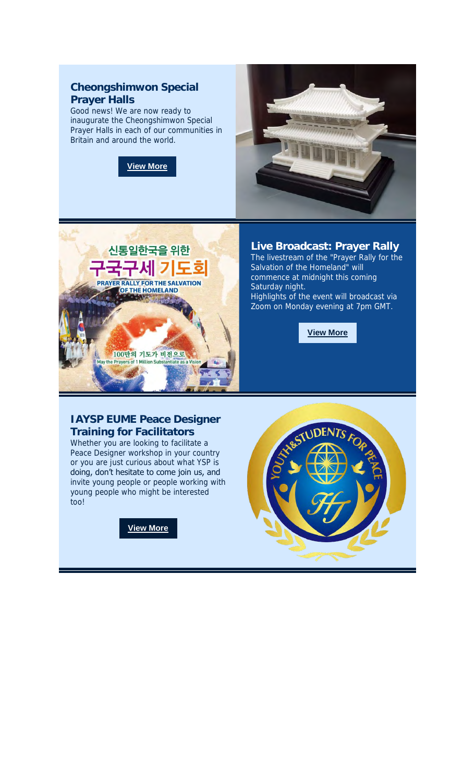## **Cheongshimwon Special Prayer Halls**

Good news! We are now ready to inaugurate the Cheongshimwon Special Prayer Halls in each of our communities in Britain and around the world.







**Live Broadcast: Prayer Rally**

The livestream of the "Prayer Rally for the Salvation of the Homeland" will commence at midnight this coming Saturday night. Highlights of the event will broadcast via Zoom on Monday evening at 7pm GMT.

**View More**

**IAYSP EUME Peace Designer Training for Facilitators** Whether you are looking to facilitate a Peace Designer workshop in your country or you are just curious about what YSP is doing, don't hesitate to come join us, and invite young people or people working with young people who might be interested too!

**View More**

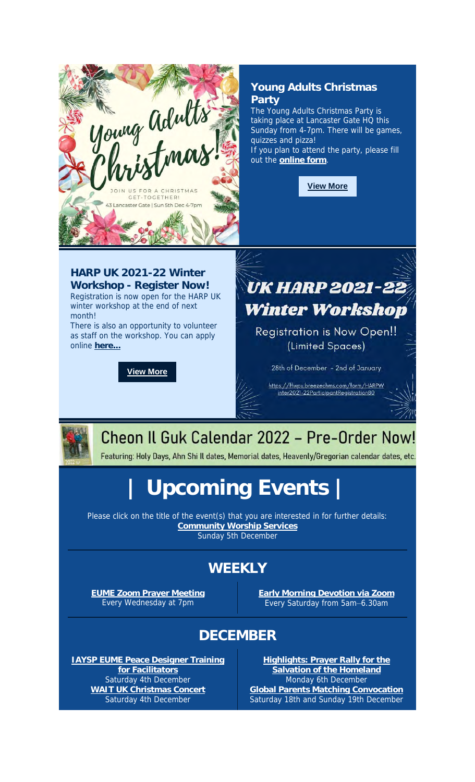

**for Facilitators** Saturday 4th December **WAIT UK Christmas Concert** Saturday 4th December

**Highlights: Prayer Rally for the Salvation of the Homeland** Monday 6th December **Global Parents Matching Convocation** Saturday 18th and Sunday 19th December